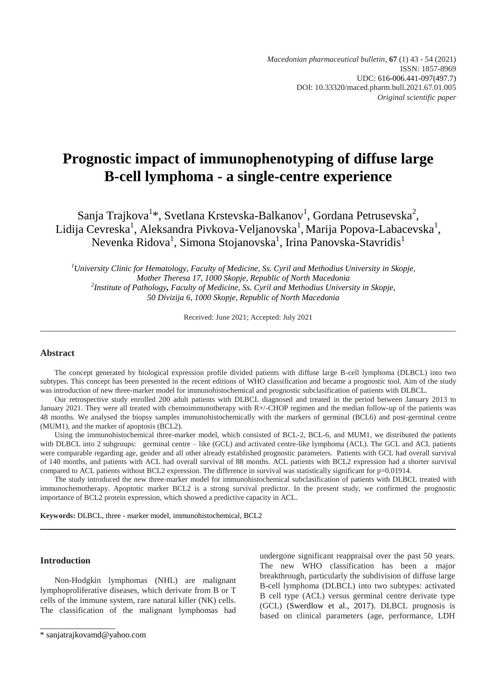*Macedonian pharmaceutical bulletin*, **67** (1) 43 - 54 (2021) ISSN: 1857-8969 UDC: 616-006.441-097(497.7) DOI: 10.33320/maced.pharm.bull.2021.67.01.005 *Original scientific paper*

# **Prognostic impact of immunophenotyping of diffuse large B-cell lymphoma - a single-centre experience**

Sanja Trajkova $^{1*}$ , Svetlana Krstevska-Balkanov $^{1}$ , Gordana Petrusevska $^{2}$ , Lidija Cevreska<sup>1</sup>, Aleksandra Pivkova-Veljanovska<sup>1</sup>, Marija Popova-Labacevska<sup>1</sup>, Nevenka Ridova<sup>1</sup>, Simona Stojanovska<sup>1</sup>, Irina Panovska-Stavridis<sup>1</sup>

*<sup>1</sup>University Clinic for Hematology, Faculty of Medicine, Ss. Cyril and Methodius University in Skopje, Mother Theresa 17, 1000 Skopje, Republic of North Macedonia 2 Institute of Pathology, Faculty of Medicine, Ss. Cyril and Methodius University in Skopje, 50 Divizija 6, 1000 Skopje, Republic of North Macedonia*

Received: June 2021; Accepted: July 2021

# **Abstract**

The concept generated by biological expression profile divided patients with diffuse large B-cell lymphoma (DLBCL) into two subtypes. This concept has been presented in the recent editions of WHO classification and became a prognostic tool. Aim of the study was introduction of new three-marker model for immunohistochemical and prognostic subclasification of patients with DLBCL.

Our retrospective study enrolled 200 adult patients with DLBCL diagnosed and treated in the period between January 2013 to January 2021. They were all treated with chemoimmunotherapy with R+/-CHOP regimen and the median follow-up of the patients was 48 months. We analysed the biopsy samples immunohistochemically with the markers of germinal (BCL6) and post-germinal centre (MUM1), and the marker of apoptosis (BCL2).

Using the immunohistochemical three-marker model, which consisted of BCL-2, BCL-6, and MUM1, we distributed the patients with DLBCL into 2 subgroups: germinal centre – like (GCL) and activated centre-like lymphoma (ACL). The GCL and ACL patients were comparable regarding age, gender and all other already established prognostic parameters. Patients with GCL had overall survival of 140 months, and patients with ACL had overall survival of 88 months. ACL patients with BCL2 expression had a shorter survival compared to ACL patients without BCL2 expression. The difference in survival was statistically significant for p=0.01914.

The study introduced the new three-marker model for immunohistochemical subclasification of patients with DLBCL treated with immunochemotherapy. Apoptotic marker BCL2 is a strong survival predictor. In the present study, we confirmed the prognostic importance of BCL2 protein expression, which showed a predictive capacity in ACL.

**Keywords:** DLBCL, three - marker model, immunohistochemical, BCL2

## **Introduction**

Non-Hodgkin lymphomas (NHL) are malignant lymphoproliferative diseases, which derivate from B or T cells of the immune system, rare natural killer (NK) cells. The classification of the malignant lymphomas had

\* [sanjatrajkovamd@yahoo.com](mailto:sanjatrajkovamd@yahoo.com)

\_\_\_\_\_\_\_\_\_\_\_\_\_\_\_\_\_\_

undergone significant reappraisal over the past 50 years. The new WHO classification has been a major breakthrough, particularly the subdivision of diffuse large B-cell lymphoma (DLBCL) into two subtypes: activated B cell type (ACL) versus germinal centre derivate type (GCL) (Swerdlow et al., 2017). DLBCL prognosis is based on clinical parameters (age, performance, LDH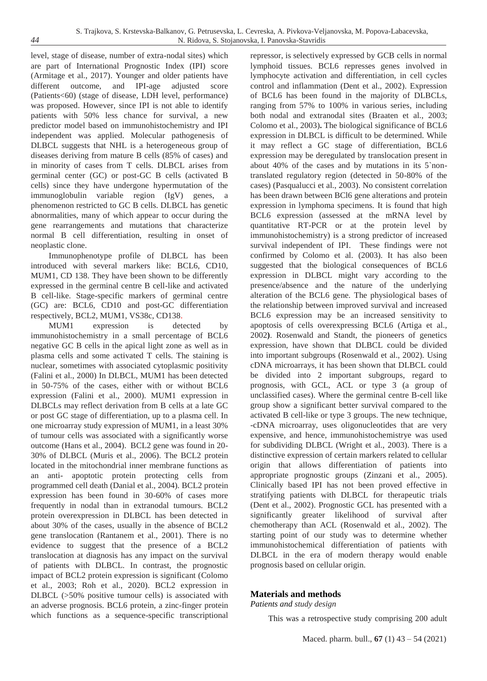level, stage of disease, number of extra-nodal sites) which are part of International Prognostic Index (IPI) score (Armitage et al., 2017). Younger and older patients have different outcome, and IPI-age adjusted score (Patients<60) (stage of disease, LDH level, performance) was proposed. However, since IPI is not able to identify patients with 50% less chance for survival, a new predictor model based on immunohistochemistry and IPI independent was applied. Molecular pathogenesis of DLBCL suggests that NHL is a heterogeneous group of diseases deriving from mature B cells (85% of cases) and in minority of cases from T cells. DLBCL arises from germinal center (GC) or post-GC B cells (activated B cells) since they have undergone hypermutation of the immunoglobulin variable region (IgV) genes, a phenomenon restricted to GC B cells. DLBCL has genetic abnormalities, many of which appear to occur during the gene rearrangements and mutations that characterize normal B cell differentiation, resulting in onset of neoplastic clone.

Immunophenotype profile of DLBCL has been introduced with several markers like: BCL6, CD10, MUM1, CD 138. They have been shown to be differently expressed in the germinal centre B cell-like and activated B cell-like. Stage-specific markers of germinal centre (GC) are: BCL6, CD10 and post-GC differentiation respectively, BCL2, MUM1, VS38c, CD138.

MUM1 expression is detected by immunohistochemistry in a small percentage of BCL6 negative GC B cells in the apical light zone as well as in plasma cells and some activated T cells. The staining is nuclear, sometimes with associated cytoplasmic positivity (Falini et al., 2000) In DLBCL, MUM1 has been detected in 50-75% of the cases, either with or without BCL6 expression (Falini et al., 2000). MUM1 expression in DLBCLs may reflect derivation from B cells at a late GC or post GC stage of differentiation, up to a plasma cell. In one microarray study expression of MUM1, in a least 30% of tumour cells was associated with a significantly worse outcome (Hans et al., 2004). BCL2 gene was found in 20- 30% of DLBCL (Muris et al., 2006). The BCL2 protein located in the mitochondrial inner membrane functions as an anti- apoptotic protein protecting cells from programmed cell death (Danial et al., 2004). BCL2 protein expression has been found in 30-60% of cases more frequently in nodal than in extranodal tumours. BCL2 protein overexpression in DLBCL has been detected in about 30% of the cases, usually in the absence of BCL2 gene translocation (Rantanem et al., 2001). There is no evidence to suggest that the presence of a BCL2 translocation at diagnosis has any impact on the survival of patients with DLBCL. In contrast, the prognostic impact of BCL2 protein expression is significant (Colomo et al., 2003; Roh et al., 2020). BCL2 expression in DLBCL (>50% positive tumour cells) is associated with an adverse prognosis. BCL6 protein, a zinc-finger protein which functions as a sequence-specific transcriptional

repressor, is selectively expressed by GCB cells in normal lymphoid tissues. BCL6 represses genes involved in lymphocyte activation and differentiation, in cell cycles control and inflammation (Dent et al., 2002). Expression of BCL6 has been found in the majority of DLBCLs, ranging from 57% to 100% in various series, including both nodal and extranodal sites (Braaten et al., 2003; Colomo et al., 2003)**.** The biological significance of BCL6 expression in DLBCL is difficult to be determined. While it may reflect a GC stage of differentiation, BCL6 expression may be deregulated by translocation present in about 40% of the cases and by mutations in its 5`nontranslated regulatory region (detected in 50-80% of the cases) (Pasqualucci et al., 2003). No consistent correlation has been drawn between BCl6 gene alterations and protein expression in lymphoma specimens. It is found that high BCL6 expression (assessed at the mRNA level by quantitative RT-PCR or at the protein level by immunohistochemistry) is a strong predictor of increased survival independent of IPI. These findings were not confirmed by Colomo et al. (2003). It has also been suggested that the biological consequences of BCL6 expression in DLBCL might vary according to the presence/absence and the nature of the underlying alteration of the BCL6 gene. The physiological bases of the relationship between improved survival and increased BCL6 expression may be an increased sensitivity to apoptosis of cells overexpressing BCL6 (Artiga et al., 2002**)**. Rosenwald and Standt, the pioneers of genetics expression, have shown that DLBCL could be divided into important subgroups (Rosenwald et al., 2002). Using cDNA microarrays, it has been shown that DLBCL could be divided into 2 important subgroups, regard to prognosis, with GCL, ACL or type 3 (a group of unclassified cases). Where the germinal centre B-cell like group show a significant better survival compared to the activated B cell-like or type 3 groups. The new technique, -cDNA microarray, uses oligonucleotides that are very expensive, and hence, immunohistochemistrye was used for subdividing DLBCL (Wright et al., 2003). There is a distinctive expression of certain markers related to cellular origin that allows differentiation of patients into appropriate prognostic groups (Zinzani et al., 2005). Clinically based IPI has not been proved effective in stratifying patients with DLBCL for therapeutic trials (Dent et al., 2002). Prognostic GCL has presented with a significantly greater likelihood of survival after chemotherapy than ACL (Rosenwald et al., 2002). The starting point of our study was to determine whether immunohistochemical differentiation of patients with DLBCL in the era of modern therapy would enable prognosis based on cellular origin.

# **Materials and methods**

*Patients and study design* 

This was a retrospective study comprising 200 adult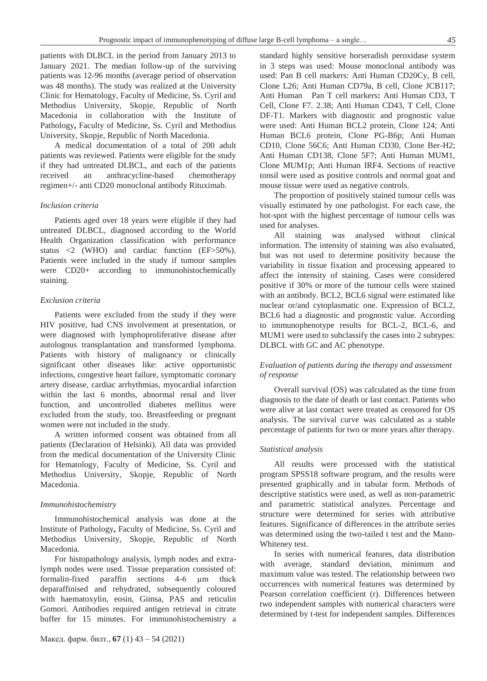patients with DLBCL in the period from January 2013 to January 2021. The median follow-up of the surviving patients was 12-96 months (average period of observation was 48 months). The study was realized at the University Clinic for Hematology, Faculty of Medicine, Ss. Cyril and Methodius University, Skopje, Republic of North Macedonia in collaboration with the Institute of Pathology**,** Faculty of Medicine, Ss. Cyril and Methodius University, Skopje, Republic of North Macedonia.

A medical documentation of a total of 200 adult patients was reviewed. Patients were eligible for the study if they had untreated DLBCL, and each of the patients received an anthracycline-based chemotherapy regimen+/- anti CD20 monoclonal antibody Rituximab.

#### *Inclusion criteria*

Patients aged over 18 years were eligible if they had untreated DLBCL, diagnosed according to the World Health Organization classification with performance status <2 (WHO) and cardiac function (EF>50%). Patients were included in the study if tumour samples were CD20+ according to immunohistochemically staining.

## *Exclusion criteria*

Patients were excluded from the study if they were HIV positive, had CNS involvement at presentation, or were diagnosed with lymphoproliferative disease after autologous transplantation and transformed lymphoma. Patients with history of malignancy or clinically significant other diseases like: active opportunistic infections, congestive heart failure, symptomatic coronary artery disease, cardiac arrhythmias, myocardial infarction within the last 6 months, abnormal renal and liver function, and uncontrolled diabetes mellitus were excluded from the study, too. Breastfeeding or pregnant women were not included in the study.

A written informed consent was obtained from all patients (Declaration of Helsinki). All data was provided from the medical documentation of the University Clinic for Hematology, Faculty of Medicine, Ss. Cyril and Methodius University, Skopje, Republic of North Macedonia.

#### *Immunohistochemistry*

Immunohistochemical analysis was done at the Institute of Pathology**,** Faculty of Medicine, Ss. Cyril and Methodius University, Skopje, Republic of North Macedonia.

For histopathology analysis, lymph nodes and extralymph nodes were used. Tissue preparation consisted of: formalin-fixed paraffin sections 4-6 µm thick deparaffinised and rehydrated, subsequently coloured with haematoxylin, eosin, Gimsa, PAS and reticulin Gomori. Antibodies required antigen retrieval in citrate buffer for 15 minutes. For immunohistochemistry a

Макед. фарм. билт., **67** (1) 43 – 54 (2021)

standard highly sensitive horseradish peroxidase system in 3 steps was used: Mouse monoclonal antibody was used: Pan B cell markers: Anti Human CD20Cy, B cell, Clone L26; Anti Human CD79a, B cell, Clone JCB117; Anti Human Pan T cell markers**:** Anti Human CD3, T Cell, Clone F7. 2.38; Anti Human CD43, T Cell, Clone DF-T1. Markers with diagnostic and prognostic value were used: Anti Human BCL2 protein, Clone 124; Anti Human BCL6 protein, Clone PG-B6p; Anti Human CD10, Clone 56C6; Anti Human CD30, Clone Ber-H2; Anti Human CD138, Clone 5F7; Anti Human MUM1, Clone MUM1p; Anti Human IRF4. Sections of reactive tonsil were used as positive controls and normal goat and mouse tissue were used as negative controls.

The proportion of positively stained tumour cells was visually estimated by one pathologist. For each case, the hot-spot with the highest percentage of tumour cells was used for analyses.

All staining was analysed without clinical information. The intensity of staining was also evaluated, but was not used to determine positivity because the variability in tissue fixation and processing appeared to affect the intensity of staining. Cases were considered positive if 30% or more of the tumour cells were stained with an antibody. BCL2, BCL6 signal were estimated like nuclear or/and cytoplasmatic one. Expression of BCL2, BCL6 had a diagnostic and prognostic value. According to immunophenotype results for BCL-2, BCL-6, and MUM1 were used to subclassify the cases into 2 subtypes: DLBCL with GC and AC phenotype.

# *Evaluation of patients during the therapy and assessment of response*

Overall survival (OS) was calculated as the time from diagnosis to the date of death or last contact. Patients who were alive at last contact were treated as censored for OS analysis. The survival curve was calculated as a stable percentage of patients for two or more years after therapy.

#### *Statistical analysis*

All results were processed with the statistical program SPSS18 software program, and the results were presented graphically and in tabular form. Methods of descriptive statistics were used, as well as non-parametric and parametric statistical analyzes. Percentage and structure were determined for series with attributive features. Significance of differences in the attribute series was determined using the two-tailed t test and the Mann-Whiteney test.

In series with numerical features, data distribution with average, standard deviation, minimum and maximum value was tested. The relationship between two occurrences with numerical features was determined by Pearson correlation coefficient (r). Differences between two independent samples with numerical characters were determined by t-test for independent samples. Differences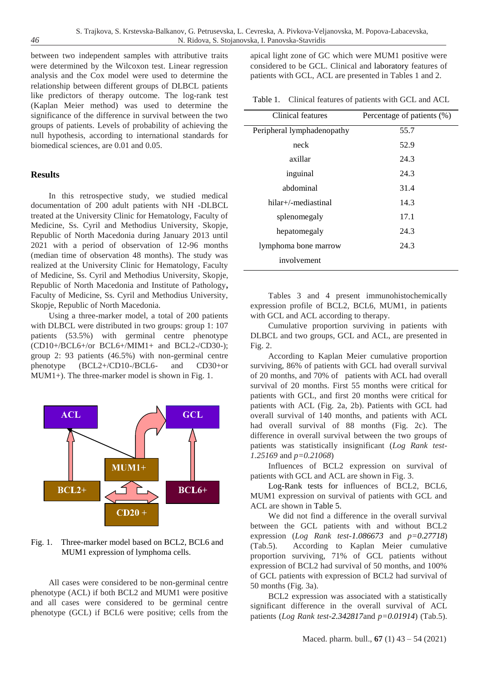between two independent samples with attributive traits were determined by the Wilcoxon test. Linear regression analysis and the Cox model were used to determine the relationship between different groups of DLBCL patients like predictors of therapy outcome. The log-rank test (Kaplan Meier method) was used to determine the significance of the difference in survival between the two groups of patients. Levels of probability of achieving the null hypothesis, according to international standards for biomedical sciences, are 0.01 and 0.05.

# **Results**

In this retrospective study, we studied medical documentation of 200 adult patients with NH -DLBCL treated at the University Clinic for Hematology, Faculty of Medicine, Ss. Cyril and Methodius University, Skopje, Republic of North Macedonia during January 2013 until 2021 with a period of observation of 12-96 months (median time of observation 48 months). The study was realized at the University Clinic for Hematology, Faculty of Medicine, Ss. Cyril and Methodius University, Skopje, Republic of North Macedonia and Institute of Pathology**,**  Faculty of Medicine, Ss. Cyril and Methodius University, Skopje, Republic of North Macedonia.

Using a three-marker model, a total of 200 patients with DLBCL were distributed in two groups: group 1: 107 patients (53.5%) with germinal centre phenotype (CD10+/BCL6+/or BCL6+/MIM1+ and BCL2-/CD30-); group 2: 93 patients (46.5%) with non-germinal centre phenotype (BCL2+/CD10-/BCL6- and CD30+or MUM1+). The three-marker model is shown in Fig. 1.



Fig. 1. Three-marker model based on BCL2, BCL6 and MUM1 expression of lymphoma cells.

All cases were considered to be non-germinal centre phenotype (ACL) if both BCL2 and MUM1 were positive and all cases were considered to be germinal centre phenotype (GCL) if BCL6 were positive; cells from the apical light zone of GC which were MUM1 positive were considered to be GCL. Clinical and laboratory features of patients with GCL, ACL are presented in Tables 1 and 2.

Table 1. Clinical features of patients with GCL and ACL

| Clinical features          | Percentage of patients (%) |
|----------------------------|----------------------------|
| Peripheral lymphadenopathy | 55.7                       |
| neck                       | 52.9                       |
| axillar                    | 24.3                       |
| inguinal                   | 24.3                       |
| abdominal                  | 31.4                       |
| hilar+/-mediastinal        | 14.3                       |
| splenomegaly               | 17.1                       |
| hepatomegaly               | 24.3                       |
| lymphoma bone marrow       | 24.3                       |
| involvement                |                            |

Tables 3 and 4 present immunohistochemically expression profile of BCL2, BCL6, MUM1, in patients with GCL and ACL according to therapy.

Cumulative proportion surviving in patients with DLBCL and two groups, GCL and ACL, are presented in Fig. 2.

According to Kaplan Meier cumulative proportion surviving, 86% of patients with GCL had overall survival of 20 months, and 70% of patients with ACL had overall survival of 20 months. First 55 months were critical for patients with GCL, and first 20 months were critical for patients with ACL (Fig. 2a, 2b). Patients with GCL had overall survival of 140 months, and patients with ACL had overall survival of 88 months (Fig. 2c). The difference in overall survival between the two groups of patients was statistically insignificant (*Log Rank test-1.25169* and *p=0.21068*)

Influences of BCL2 expression on survival of patients with GCL and ACL are shown in Fig. 3.

Log-Rank tests for influences of BCL2, BCL6, MUM1 expression on survival of patients with GCL and ACL are shown in Table 5.

We did not find a difference in the overall survival between the GCL patients with and without BCL2 expression (*Log Rank test-1.086673* and *p=0.27718*) (Tab.5). According to Kaplan Meier cumulative proportion surviving, 71% of GCL patients without expression of BCL2 had survival of 50 months, and 100% of GCL patients with expression of BCL2 had survival of 50 months (Fig. 3a).

BCL2 expression was associated with a statistically significant difference in the overall survival of ACL patients (*Log Rank test-2.342817*and *p=0.01914*) (Tab.5).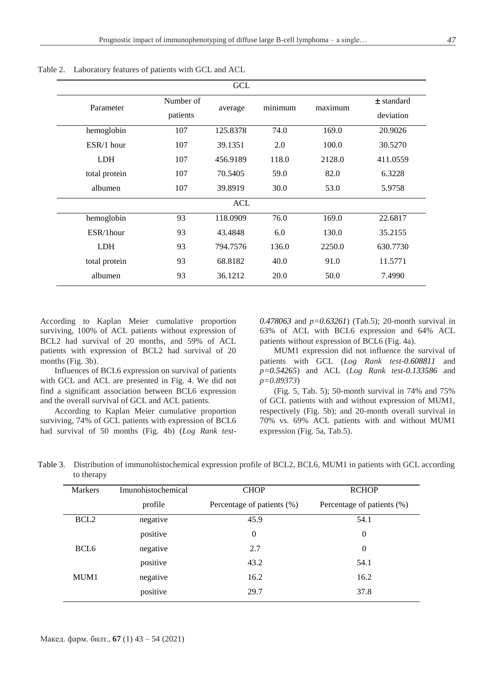| GCL           |                       |          |         |         |                           |
|---------------|-----------------------|----------|---------|---------|---------------------------|
| Parameter     | Number of<br>patients | average  | minimum | maximum | $±$ standard<br>deviation |
| hemoglobin    | 107                   | 125.8378 | 74.0    | 169.0   | 20.9026                   |
| $ESR/1$ hour  | 107                   | 39.1351  | 2.0     | 100.0   | 30.5270                   |
| <b>LDH</b>    | 107                   | 456.9189 | 118.0   | 2128.0  | 411.0559                  |
| total protein | 107                   | 70.5405  | 59.0    | 82.0    | 6.3228                    |
| albumen       | 107                   | 39.8919  | 30.0    | 53.0    | 5.9758                    |
|               | <b>ACL</b>            |          |         |         |                           |
| hemoglobin    | 93                    | 118.0909 | 76.0    | 169.0   | 22.6817                   |
| ESR/1hour     | 93                    | 43.4848  | 6.0     | 130.0   | 35.2155                   |
| <b>LDH</b>    | 93                    | 794.7576 | 136.0   | 2250.0  | 630.7730                  |
| total protein | 93                    | 68.8182  | 40.0    | 91.0    | 11.5771                   |
| albumen       | 93                    | 36.1212  | 20.0    | 50.0    | 7.4990                    |

Table 2. Laboratory features of patients with GCL and ACL

According to Kaplan Meier cumulative proportion surviving, 100% of ACL patients without expression of BCL2 had survival of 20 months, and 59% of ACL patients with expression of BCL2 had survival of 20 months (Fig. 3b).

Influences of BCL6 expression on survival of patients with GCL and ACL are presented in Fig. 4. We did not find a significant association between BCL6 expression and the overall survival of GCL and ACL patients.

According to Kaplan Meier cumulative proportion surviving, 74% of GCL patients with expression of BCL6 had survival of 50 months (Fig. 4b) (*Log Rank test-* *0.478063* and *p=0.63261*) (Tab.5); 20-month survival in 63% of ACL with BCL6 expression and 64% ACL patients without expression of BCL6 (Fig. 4a).

MUM1 expression did not influence the survival of patients with GCL (*Log Rank test-0.608811* and *p=0.54265*) and ACL (*Log Rank test-0.133586* and *p=0.89373*)

(Fig. 5, Tab. 5); 50-month survival in 74% and 75% of GCL patients with and without expression of MUM1, respectively (Fig. 5b); and 20-month overall survival in 70% vs. 69% ACL patients with and without MUM1 expression (Fig. 5a, Tab.5).

Table 3. Distribution of immunohistochemical expression profile of BCL2, BCL6, MUM1 in patients with GCL according to therapy

| <b>Markers</b>   | Imunohistochemical | <b>CHOP</b>                | <b>RCHOP</b>               |
|------------------|--------------------|----------------------------|----------------------------|
|                  | profile            | Percentage of patients (%) | Percentage of patients (%) |
| BCL <sub>2</sub> | negative           | 45.9                       | 54.1                       |
|                  | positive           | $\boldsymbol{0}$           | $\theta$                   |
| BCL <sub>6</sub> | negative           | 2.7                        | $\theta$                   |
|                  | positive           | 43.2                       | 54.1                       |
| MUM1             | negative           | 16.2                       | 16.2                       |
|                  | positive           | 29.7                       | 37.8                       |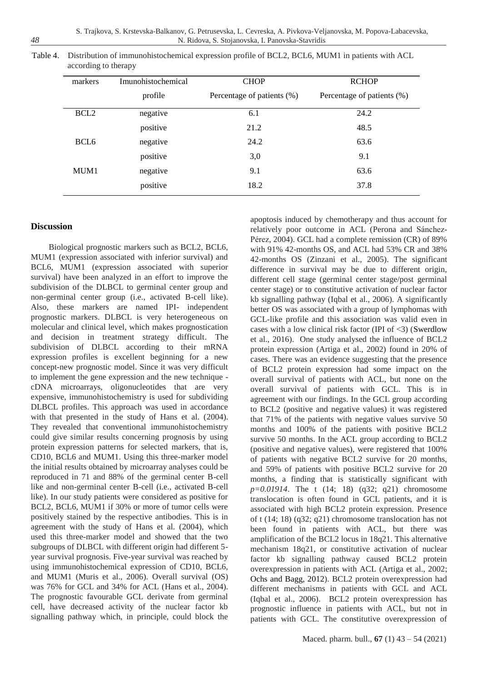| markers          | Imunohistochemical | <b>CHOP</b>                | <b>RCHOP</b>               |
|------------------|--------------------|----------------------------|----------------------------|
|                  | profile            | Percentage of patients (%) | Percentage of patients (%) |
| BCL <sub>2</sub> | negative           | 6.1                        | 24.2                       |
|                  | positive           | 21.2                       | 48.5                       |
| BCL <sub>6</sub> | negative           | 24.2                       | 63.6                       |
|                  | positive           | 3,0                        | 9.1                        |
| MUM1             | negative           | 9.1                        | 63.6                       |
|                  | positive           | 18.2                       | 37.8                       |

Table 4. Distribution of immunohistochemical expression profile of BCL2, BCL6, MUM1 in patients with ACL according to therapy

# **Discussion**

Biological prognostic markers such as BCL2, BCL6, MUM1 (expression associated with inferior survival) and BCL6, MUM1 (expression associated with superior survival) have been analyzed in an effort to improve the subdivision of the DLBCL to germinal center group and non-germinal center group (i.e., activated B-cell like). Also, these markers are named IPI- independent prognostic markers. DLBCL is very heterogeneous on molecular and clinical level, which makes prognostication and decision in treatment strategy difficult. The subdivision of DLBCL according to their mRNA expression profiles is excellent beginning for a new concept-new prognostic model. Since it was very difficult to implement the gene expression and the new technique cDNA microarrays, oligonucleotides that are very expensive, immunohistochemistry is used for subdividing DLBCL profiles. This approach was used in accordance with that presented in the study of Hans et al. (2004). They revealed that conventional immunohistochemistry could give similar results concerning prognosis by using protein expression patterns for selected markers, that is, CD10, BCL6 and MUM1. Using this three-marker model the initial results obtained by microarray analyses could be reproduced in 71 and 88% of the germinal center B-cell like and non-germinal center B-cell (i.e., activated B-cell like). In our study patients were considered as positive for BCL2, BCL6, MUM1 if 30% or more of tumor cells were positively stained by the respective antibodies. This is in agreement with the study of Hans et al. (2004), which used this three-marker model and showed that the two subgroups of DLBCL with different origin had different 5 year survival prognosis. Five-year survival was reached by using immunohistochemical expression of CD10, BCL6, and MUM1 (Muris et al., 2006). Overall survival (OS) was 76% for GCL and 34% for ACL (Hans et al., 2004). The prognostic favourable GCL derivate from germinal cell, have decreased activity of the nuclear factor kb signalling pathway which, in principle, could block the apoptosis induced by chemotherapy and thus account for relatively poor outcome in ACL (Perona and Sánchez-Pérez, 2004). GCL had a complete remission (CR) of 89% with 91% 42-months OS, and ACL had 53% CR and 38% 42-months OS (Zinzani et al., 2005). The significant difference in survival may be due to different origin, different cell stage (germinal center stage/post germinal center stage) or to constitutive activation of nuclear factor kb signalling pathway (Iqbal et al., 2006). A significantly better OS was associated with a group of lymphomas with GCL-like profile and this association was valid even in cases with a low clinical risk factor (IPI of  $\langle 3 \rangle$ ) (Swerdlow et al., 2016). One study analysed the influence of BCL2 protein expression (Artiga et al., 2002) found in 20% of cases. There was an evidence suggesting that the presence of BCL2 protein expression had some impact on the overall survival of patients with ACL, but none on the overall survival of patients with GCL. This is in agreement with our findings. In the GCL group according to BCL2 (positive and negative values) it was registered that 71% of the patients with negative values survive 50 months and 100% of the patients with positive BCL2 survive 50 months. In the ACL group according to BCL2 (positive and negative values), were registered that 100% of patients with negative BCL2 survive for 20 months, and 59% of patients with positive BCL2 survive for 20 months, a finding that is statistically significant with *p=0.01914*. The t (14; 18) (q32; q21) chromosome translocation is often found in GCL patients, and it is associated with high BCL2 protein expression. Presence of t (14; 18) (q32; q21) chromosome translocation has not been found in patients with ACL, but there was amplification of the BCL2 locus in 18q21. This alternative mechanism 18q21, or constitutive activation of nuclear factor kb signalling pathway caused BCL2 protein overexpression in patients with ACL (Artiga et al., 2002; Ochs and Bagg, 2012). BCL2 protein overexpression had different mechanisms in patients with GCL and ACL (Iqbal et al., 2006). BCL2 protein overexpression has prognostic influence in patients with ACL, but not in patients with GCL. The constitutive overexpression of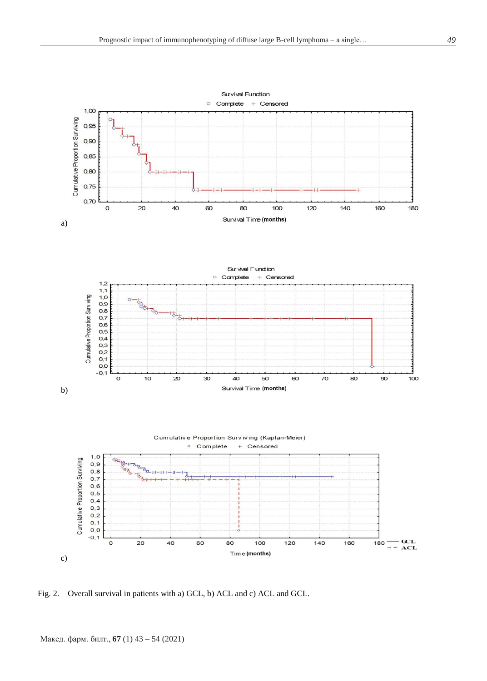

Fig. 2. Overall survival in patients with a) GCL, b) ACL and c) ACL and GCL.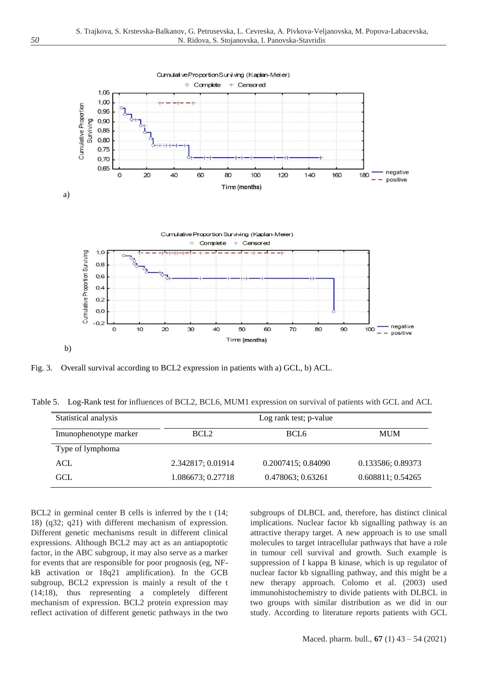

Fig. 3. Overall survival according to BCL2 expression in patients with a) GCL, b) ACL.

Table 5. Log-Rank test for influences of BCL2, BCL6, MUM1 expression on survival of patients with GCL and ACL

| Statistical analysis  | Log rank test; p-value |                    |                   |  |
|-----------------------|------------------------|--------------------|-------------------|--|
| Imunophenotype marker | BCL <sub>2</sub>       | BCL6               | <b>MUM</b>        |  |
| Type of lymphoma      |                        |                    |                   |  |
| ACL                   | 2.342817; 0.01914      | 0.2007415; 0.84090 | 0.133586; 0.89373 |  |
| GCL                   | 1.086673; 0.27718      | 0.478063; 0.63261  | 0.608811; 0.54265 |  |

BCL2 in germinal center B cells is inferred by the t (14; 18) (q32; q21) with different mechanism of expression. Different genetic mechanisms result in different clinical expressions. Although BCL2 may act as an antiapoptotic factor, in the ABC subgroup, it may also serve as a marker for events that are responsible for poor prognosis (eg, NFkB activation or 18q21 amplification). In the GCB subgroup, BCL2 expression is mainly a result of the t (14;18), thus representing a completely different mechanism of expression. BCL2 protein expression may reflect activation of different genetic pathways in the two subgroups of DLBCL and, therefore, has distinct clinical implications. Nuclear factor kb signalling pathway is an attractive therapy target. A new approach is to use small molecules to target intracellular pathways that have a role in tumour cell survival and growth. Such example is suppression of I kappa B kinase, which is up regulator of nuclear factor kb signalling pathway, and this might be a new therapy approach. Colomo et al. (2003) used immunohistochemistry to divide patients with DLBCL in two groups with similar distribution as we did in our study. According to literature reports patients with GCL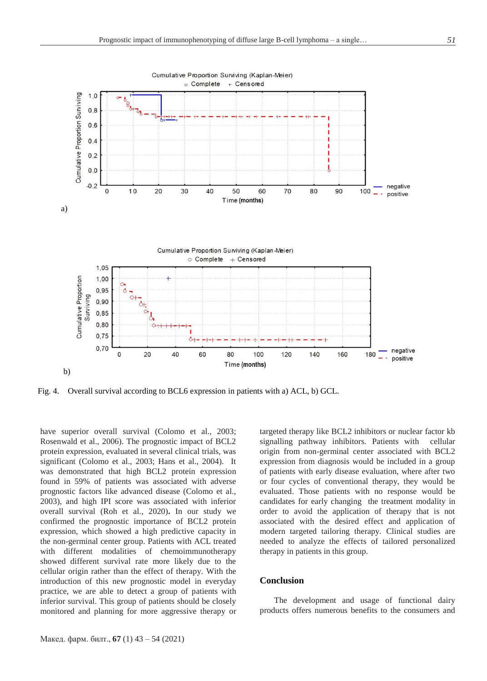

Fig. 4. Overall survival according to BCL6 expression in patients with a) ACL, b) GCL.

have superior overall survival (Colomo et al., 2003; Rosenwald et al., 2006). The prognostic impact of BCL2 protein expression, evaluated in several clinical trials, was significant (Colomo et al., 2003; Hans et al., 2004). It was demonstrated that high BCL2 protein expression found in 59% of patients was associated with adverse prognostic factors like advanced disease (Colomo et al., 2003), and high IPI score was associated with inferior overall survival (Roh et al., 2020)**.** In our study we confirmed the prognostic importance of BCL2 protein expression, which showed a high predictive capacity in the non-germinal center group. Patients with ACL treated with different modalities of chemoimmunotherapy showed different survival rate more likely due to the cellular origin rather than the effect of therapy. With the introduction of this new prognostic model in everyday practice, we are able to detect a group of patients with inferior survival. This group of patients should be closely monitored and planning for more aggressive therapy or targeted therapy like BCL2 inhibitors or nuclear factor kb signalling pathway inhibitors. Patients with cellular origin from non-germinal center associated with BCL2 expression from diagnosis would be included in a group of patients with early disease evaluation, where after two or four cycles of conventional therapy, they would be evaluated. Those patients with no response would be candidates for early changing the treatment modality in order to avoid the application of therapy that is not associated with the desired effect and application of modern targeted tailoring therapy. Clinical studies are needed to analyze the effects of tailored personalized therapy in patients in this group.

#### **Conclusion**

The development and usage of functional dairy products offers numerous benefits to the consumers and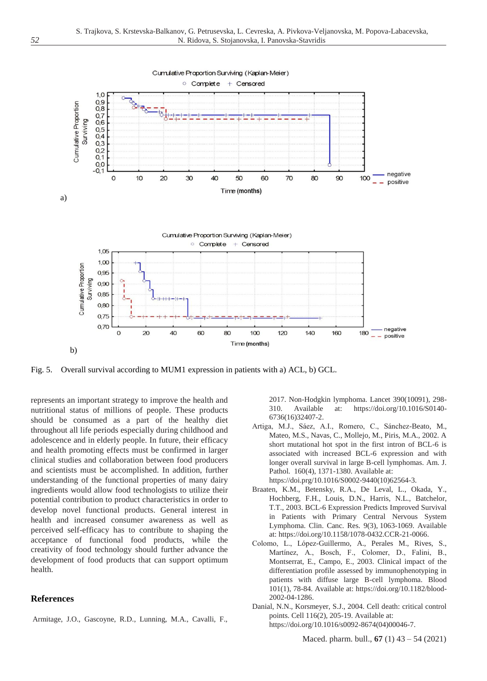

Fig. 5. Overall survival according to MUM1 expression in patients with a) ACL, b) GCL.

represents an important strategy to improve the health and nutritional status of millions of people. These products should be consumed as a part of the healthy diet throughout all life periods especially during childhood and adolescence and in elderly people. In future, their efficacy and health promoting effects must be confirmed in larger clinical studies and collaboration between food producers and scientists must be accomplished. In addition, further understanding of the functional properties of many dairy ingredients would allow food technologists to utilize their potential contribution to product characteristics in order to develop novel functional products. General interest in health and increased consumer awareness as well as perceived self-efficacy has to contribute to shaping the acceptance of functional food products, while the creativity of food technology should further advance the development of food products that can support optimum health.

### **References**

Armitage, J.O., Gascoyne, R.D., Lunning, M.A., Cavalli, F.,

2017. Non-Hodgkin lymphoma. Lancet 390(10091), 298- 310. Available at: [https://doi.org/10.1016/S0140-](https://doi.org/10.1016/S0140-6736(16)32407-2) [6736\(16\)32407-2.](https://doi.org/10.1016/S0140-6736(16)32407-2)

- Artiga, M.J., Sáez, A.I., Romero, C., Sánchez-Beato, M., Mateo, M.S., Navas, C., Mollejo, M., Piris, M.A., 2002. A short mutational hot spot in the first intron of BCL-6 is associated with increased BCL-6 expression and with longer overall survival in large B-cell lymphomas. Am. J. Pathol. 160(4), 1371-1380. Available at: [https://doi.prg/10.1016/S0002-9440\(10\)62564-3.](https://doi.prg/10.1016/S0002-9440(10)62564-3)
- Braaten, K.M., Betensky, R.A., De Leval, L., Okada, Y., Hochberg, F.H., Louis, D.N., Harris, N.L., Batchelor, T.T., 2003. BCL-6 Expression Predicts Improved Survival in Patients with Primary Central Nervous System Lymphoma. Clin. Canc. Res. 9(3), 1063-1069. Available at: [https://doi.org/10.1158/1078-0432.CCR-21-0066.](https://doi.org/10.1158/1078-0432.CCR-21-0066)
- Colomo, L., López-Guillermo, A., Perales M., Rives, S., Martínez, A., Bosch, F., Colomer, D., Falini, B., Montserrat, E., Campo, E., 2003. Clinical impact of the differentiation profile assessed by immunophenotyping in patients with diffuse large B-cell lymphoma. Blood 101(1), 78-84. Available at: [https://doi.org/10.1182/blood-](https://doi.org/10.1182/blood-2002-04-1286)[2002-04-1286.](https://doi.org/10.1182/blood-2002-04-1286)
- Danial, N.N., Korsmeyer, S.J., 2004. Cell death: critical control points. Cell 116(2), 205-19. Available at: [https://doi.org/10.1016/s0092-8674\(04\)00046-7.](https://doi.org/10.1016/s0092-8674(04)00046-7)

Maced. pharm. bull., **67** (1) 43 – 54 (2021)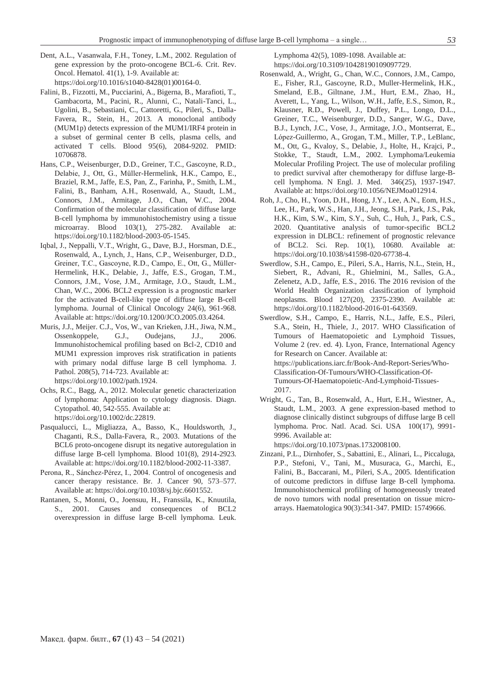- Dent, A.L., Vasanwala, F.H., Toney, L.M., 2002. Regulation of gene expression by the proto-oncogene BCL-6. Crit. Rev. Oncol. Hematol. 41(1), 1-9. Available at: [https://doi.org/10.1016/s1040-8428\(01\)00164-0.](https://doi.org/10.1016/s1040-8428(01)00164-0)
- Falini, B., Fizzotti, M., Pucciarini, A., Bigerna, B., Marafioti, T., Gambacorta, M., Pacini, R., Alunni, C., Natali-Tanci, L., Ugolini, B., Sebastiani, C., Cattoretti, G., Pileri, S., Dalla-Favera, R., Stein, H., 2013. A monoclonal antibody (MUM1p) detects expression of the MUM1/IRF4 protein in a subset of germinal center B cells, plasma cells, and activated T cells. Blood 95(6), 2084-9202. PMID: 10706878.
- Hans, C.P., Weisenburger, D.D., Greiner, T.C., Gascoyne, R.D., Delabie, J., Ott, G., Müller-Hermelink, H.K., Campo, E., Braziel, R.M., Jaffe, E.S, Pan, Z., Farinha, P., Smith, L.M., Falini, B., Banham, A.H., Rosenwald, A., Staudt, L.M., Connors, J.M., Armitage, J.O., Chan, W.C., 2004. Confirmation of the molecular classification of diffuse large B-cell lymphoma by immunohistochemistry using a tissue microarray. Blood 103(1), 275-282. Available at: [https://doi.org/10.1182/blood-2003-05-1545.](https://doi.org/10.1182/blood-2003-05-1545)
- Iqbal, J., Neppalli, V.T., Wright, G., Dave, B.J., Horsman, D.E., Rosenwald, A., Lynch, J., Hans, C.P., Weisenburger, D.D., Greiner, T.C., Gascoyne, R.D., Campo, E., Ott, G., Müller-Hermelink, H.K., Delabie, J., Jaffe, E.S., Grogan, T.M., Connors, J.M., Vose, J.M., Armitage, J.O., Staudt, L.M., Chan, W.C., 2006. BCL2 expression is a prognostic marker for the activated B-cell-like type of diffuse large B-cell lymphoma. Journal of Clinical Oncology 24(6), 961-968. Available at[: https://doi.org/10.1200/JCO.2005.03.4264.](https://doi.org/10.1200/JCO.2005.03.4264)
- Muris, J.J., Meijer. C.J., Vos, W., van Krieken, J.H., Jiwa, N.M., Ossenkoppele, G.J., Oudejans, J.J., 2006. Immunohistochemical profiling based on Bcl-2, CD10 and MUM1 expression improves risk stratification in patients with primary nodal diffuse large B cell lymphoma. J. Pathol. 208(5), 714-723. Available at: [https://doi.org/10.1002/path.1924.](https://doi.org/10.1002/path.1924)
- Ochs, R.C., Bagg, A., 2012. Molecular genetic characterization of lymphoma: Application to cytology diagnosis. Diagn. Cytopathol. 40, 542-555. Available at: [https://doi.org/10.1002/dc.22819.](https://doi.org/10.1002/dc.22819)
- Pasqualucci, L., Migliazza, A., Basso, K., Houldsworth, J., Chaganti, R.S., Dalla-Favera, R., 2003. Mutations of the BCL6 proto-oncogene disrupt its negative autoregulation in diffuse large B-cell lymphoma. Blood 101(8), 2914-2923. Available at[: https://doi.org/10.1182/blood-2002-11-3387.](https://doi.org/10.1182/blood-2002-11-3387)
- Perona, R., Sánchez-Pérez, I., 2004. Control of oncogenesis and cancer therapy resistance. Br. J. Cancer 90, 573–577. Available at[: https://doi.org/10.1038/sj.bjc.6601552.](https://doi.org/10.1038/sj.bjc.6601552)
- Rantanen, S., Monni, O., Joensuu, H., Franssila, K., Knuutila, S., 2001. Causes and consequences of BCL2 overexpression in diffuse large B-cell lymphoma. Leuk.

Lymphoma 42(5), 1089-1098. Available at: [https://doi.org/10.3109/10428190109097729.](https://doi.org/10.3109/10428190109097729)

- Rosenwald, A., Wright, G., Chan, W.C., Connors, J.M., Campo, E., Fisher, R.I., Gascoyne, R.D., Muller-Hermelink, H.K., Smeland, E.B., Giltnane, J.M., Hurt, E.M., Zhao, H., Averett, L., Yang, L., Wilson, W.H., Jaffe, E.S., Simon, R., Klausner, R.D., Powell, J., Duffey, P.L., Longo, D.L., Greiner, T.C., Weisenburger, D.D., Sanger, W.G., Dave, B.J., Lynch, J.C., Vose, J., Armitage, J.O., Montserrat, E., López-Guillermo, A., Grogan, T.M., Miller, T.P., LeBlanc, M., Ott, G., Kvaloy, S., Delabie, J., Holte, H., Krajci, P., Stokke, T., Staudt, L.M., 2002. Lymphoma/Leukemia Molecular Profiling Project. The use of molecular profiling to predict survival after chemotherapy for diffuse large-Bcell lymphoma. N Engl. J. Med. 346(25), 1937-1947. Available at: [https://doi.org/10.1056/NEJMoa012914.](https://doi.org/10.1056/NEJMoa012914)
- Roh, J., Cho, H., Yoon, D.H., Hong, J.Y., Lee, A.N., Eom, H.S., Lee, H., Park, W.S., Han, J.H., Jeong, S.H., Park, J.S., Pak, H.K., Kim, S.W., Kim, S.Y., Suh, C., Huh, J., Park, C.S., 2020. Quantitative analysis of tumor-specific BCL2 expression in DLBCL: refinement of prognostic relevance of BCL2. Sci. Rep. 10(1), 10680. Available at: [https://doi.org/10.1038/s41598-020-67738-4.](https://doi.org/10.1038/s41598-020-67738-4)
- Swerdlow, S.H., Campo, E., Pileri, S.A., Harris, N.L., Stein, H., Siebert, R., Advani, R., Ghielmini, M., Salles, G.A., Zelenetz, A.D., Jaffe, E.S., 2016. The 2016 revision of the World Health Organization classification of lymphoid neoplasms. Blood 127(20), 2375-2390. Available at: [https://doi.org/10.1182/blood-2016-01-643569.](https://doi.org/10.1182/blood-2016-01-643569)
- Swerdlow, S.H., Campo, E., Harris, N.L., Jaffe, E.S., Pileri, S.A., Stein, H., Thiele, J., 2017. WHO Classification of Tumours of Haematopoietic and Lymphoid Tissues, Volume 2 (rev. ed. 4). Lyon, France, International Agency for Research on Cancer. Available at: [https://publications.iarc.fr/Book-And-Report-Series/Who-](https://publications.iarc.fr/Book-And-Report-Series/Who-Classification-Of-Tumours/WHO-Classification-Of-Tumours-Of-Haematopoietic-And-Lymphoid-Tissues-2017)[Classification-Of-Tumours/WHO-Classification-Of-](https://publications.iarc.fr/Book-And-Report-Series/Who-Classification-Of-Tumours/WHO-Classification-Of-Tumours-Of-Haematopoietic-And-Lymphoid-Tissues-2017)[Tumours-Of-Haematopoietic-And-Lymphoid-Tissues-](https://publications.iarc.fr/Book-And-Report-Series/Who-Classification-Of-Tumours/WHO-Classification-Of-Tumours-Of-Haematopoietic-And-Lymphoid-Tissues-2017)[2017.](https://publications.iarc.fr/Book-And-Report-Series/Who-Classification-Of-Tumours/WHO-Classification-Of-Tumours-Of-Haematopoietic-And-Lymphoid-Tissues-2017)
- Wright, G., Tan, B., Rosenwald, A., Hurt, E.H., Wiestner, A., Staudt, L.M., 2003. A gene expression-based method to diagnose clinically distinct subgroups of diffuse large B cell lymphoma. Proc. Natl. Acad. Sci. USA 100(17), 9991- 9996. Available at:

[https://doi.org/10.1073/pnas.1732008100.](https://doi.org/10.1073/pnas.1732008100)

Zinzani, P.L., Dirnhofer, S., Sabattini, E., Alinari, L., Piccaluga, P.P., Stefoni, V., Tani, M., Musuraca, G., Marchi, E., Falini, B., Baccarani, M., Pileri, S.A., 2005. Identification of outcome predictors in diffuse large B-cell lymphoma. Immunohistochemical profiling of homogeneously treated de novo tumors with nodal presentation on tissue microarrays. Haematologica 90(3):341-347. PMID: 15749666.